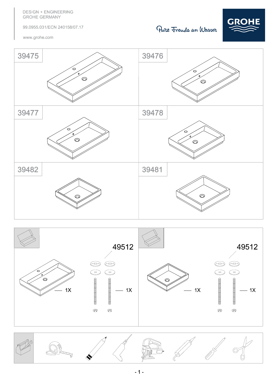**DESIGN + ENGINEERING GROHE GERMANY** 

99.0955.031/ECN 240158/07.17

www.grohe.com

## Pure Frende an Wasser







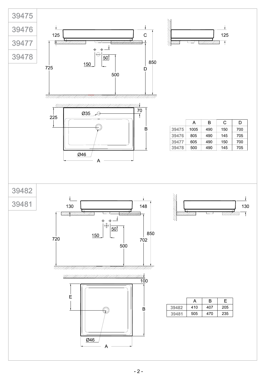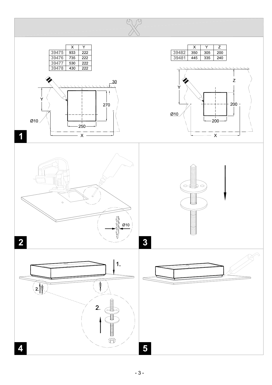